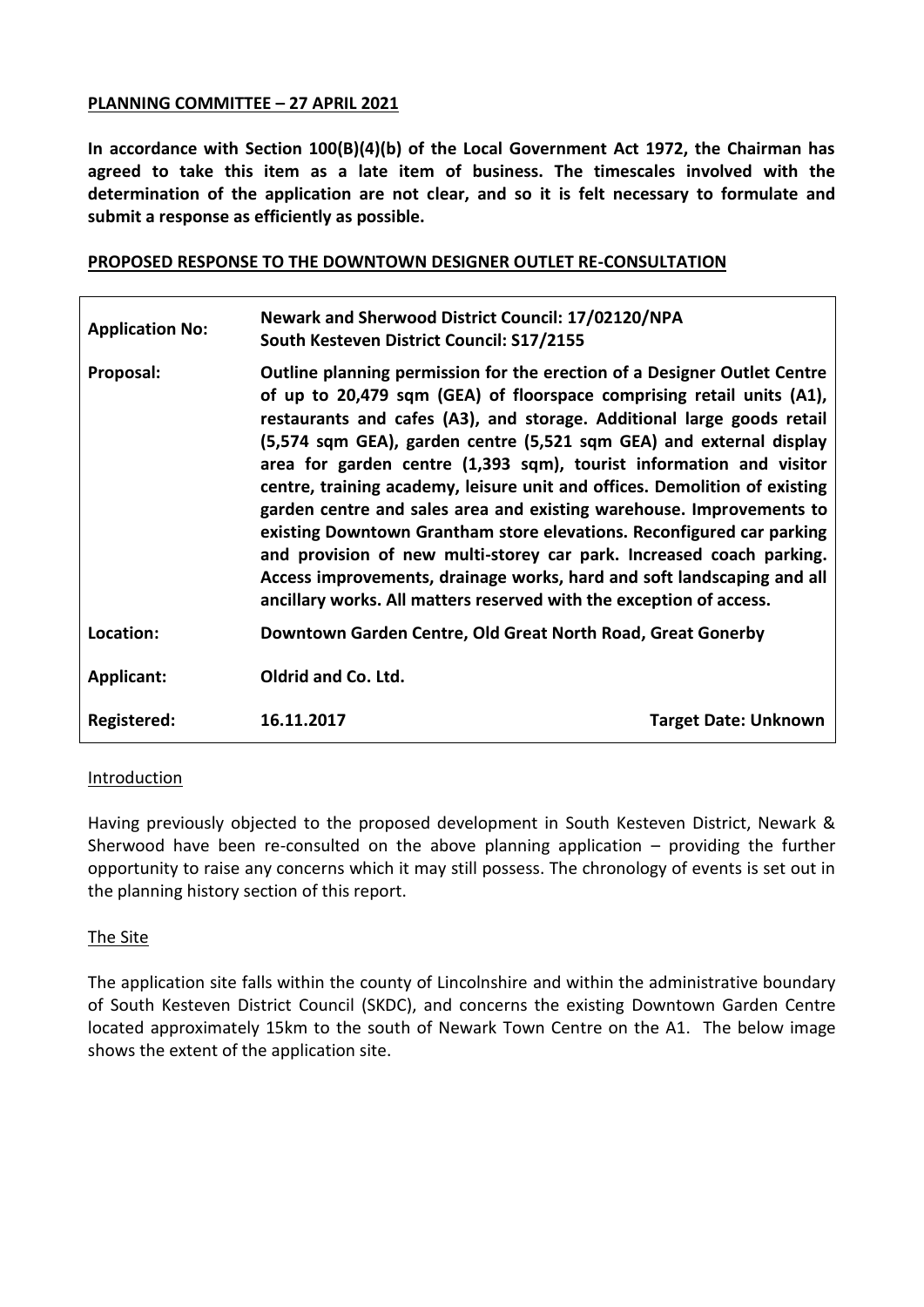#### **PLANNING COMMITTEE – 27 APRIL 2021**

**In accordance with Section 100(B)(4)(b) of the Local Government Act 1972, the Chairman has agreed to take this item as a late item of business. The timescales involved with the determination of the application are not clear, and so it is felt necessary to formulate and submit a response as efficiently as possible.**

### **PROPOSED RESPONSE TO THE DOWNTOWN DESIGNER OUTLET RE-CONSULTATION**

| <b>Application No:</b> | Newark and Sherwood District Council: 17/02120/NPA<br>South Kesteven District Council: S17/2155                                                                                                                                                                                                                                                                                                                                                                                                                                                                                                                                                                                                                                                                                                                                   |                             |
|------------------------|-----------------------------------------------------------------------------------------------------------------------------------------------------------------------------------------------------------------------------------------------------------------------------------------------------------------------------------------------------------------------------------------------------------------------------------------------------------------------------------------------------------------------------------------------------------------------------------------------------------------------------------------------------------------------------------------------------------------------------------------------------------------------------------------------------------------------------------|-----------------------------|
| Proposal:              | Outline planning permission for the erection of a Designer Outlet Centre<br>of up to 20,479 sqm (GEA) of floorspace comprising retail units (A1),<br>restaurants and cafes (A3), and storage. Additional large goods retail<br>(5,574 sqm GEA), garden centre (5,521 sqm GEA) and external display<br>area for garden centre (1,393 sqm), tourist information and visitor<br>centre, training academy, leisure unit and offices. Demolition of existing<br>garden centre and sales area and existing warehouse. Improvements to<br>existing Downtown Grantham store elevations. Reconfigured car parking<br>and provision of new multi-storey car park. Increased coach parking.<br>Access improvements, drainage works, hard and soft landscaping and all<br>ancillary works. All matters reserved with the exception of access. |                             |
| Location:              | Downtown Garden Centre, Old Great North Road, Great Gonerby                                                                                                                                                                                                                                                                                                                                                                                                                                                                                                                                                                                                                                                                                                                                                                       |                             |
| <b>Applicant:</b>      | Oldrid and Co. Ltd.                                                                                                                                                                                                                                                                                                                                                                                                                                                                                                                                                                                                                                                                                                                                                                                                               |                             |
| Registered:            | 16.11.2017                                                                                                                                                                                                                                                                                                                                                                                                                                                                                                                                                                                                                                                                                                                                                                                                                        | <b>Target Date: Unknown</b> |

#### Introduction

Having previously objected to the proposed development in South Kesteven District, Newark & Sherwood have been re-consulted on the above planning application – providing the further opportunity to raise any concerns which it may still possess. The chronology of events is set out in the planning history section of this report.

#### The Site

The application site falls within the county of Lincolnshire and within the administrative boundary of South Kesteven District Council (SKDC), and concerns the existing Downtown Garden Centre located approximately 15km to the south of Newark Town Centre on the A1. The below image shows the extent of the application site.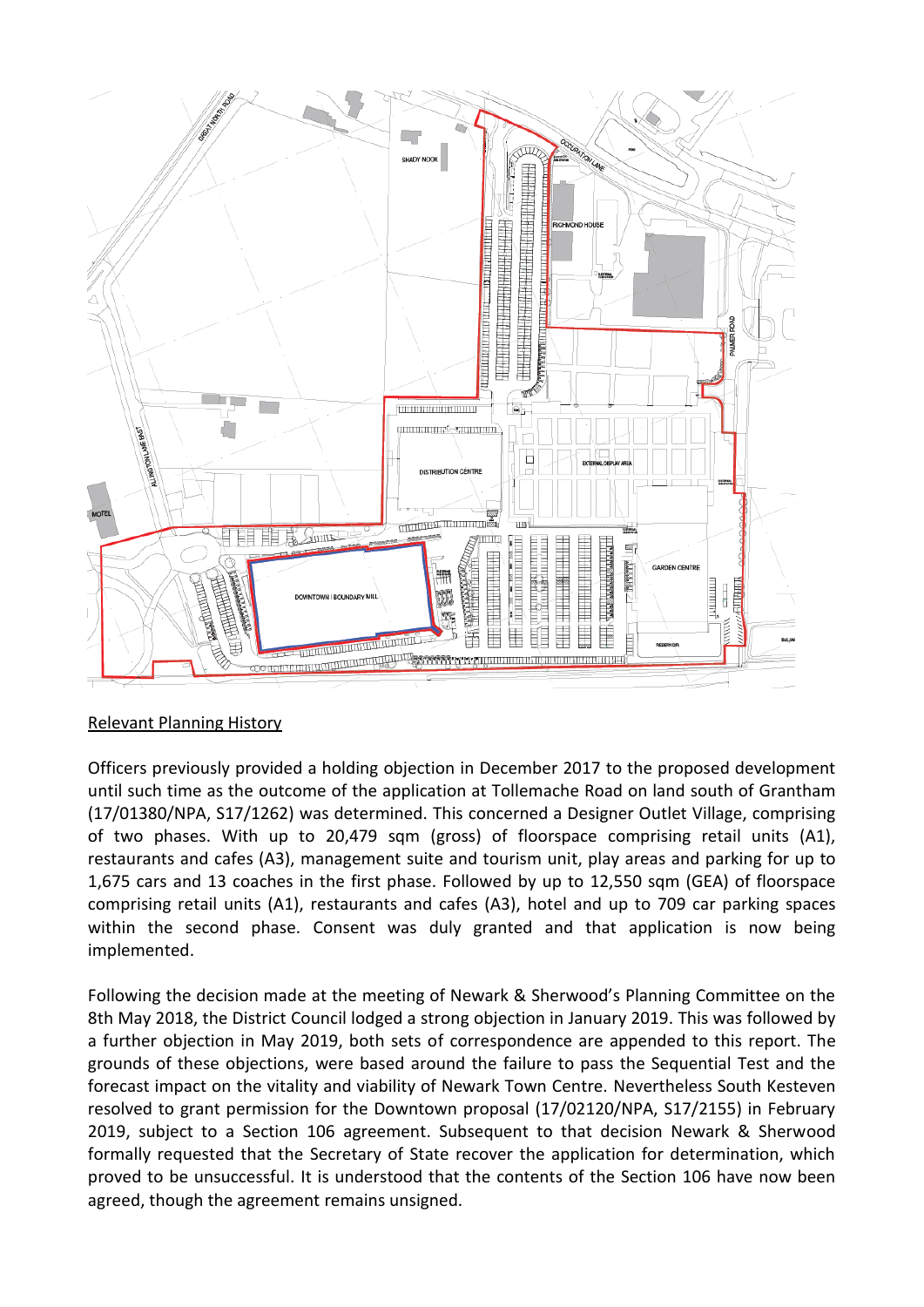

# Relevant Planning History

Officers previously provided a holding objection in December 2017 to the proposed development until such time as the outcome of the application at Tollemache Road on land south of Grantham (17/01380/NPA, S17/1262) was determined. This concerned a Designer Outlet Village, comprising of two phases. With up to 20,479 sqm (gross) of floorspace comprising retail units (A1), restaurants and cafes (A3), management suite and tourism unit, play areas and parking for up to 1,675 cars and 13 coaches in the first phase. Followed by up to 12,550 sqm (GEA) of floorspace comprising retail units (A1), restaurants and cafes (A3), hotel and up to 709 car parking spaces within the second phase. Consent was duly granted and that application is now being implemented.

Following the decision made at the meeting of Newark & Sherwood's Planning Committee on the 8th May 2018, the District Council lodged a strong objection in January 2019. This was followed by a further objection in May 2019, both sets of correspondence are appended to this report. The grounds of these objections, were based around the failure to pass the Sequential Test and the forecast impact on the vitality and viability of Newark Town Centre. Nevertheless South Kesteven resolved to grant permission for the Downtown proposal (17/02120/NPA, S17/2155) in February 2019, subject to a Section 106 agreement. Subsequent to that decision Newark & Sherwood formally requested that the Secretary of State recover the application for determination, which proved to be unsuccessful. It is understood that the contents of the Section 106 have now been agreed, though the agreement remains unsigned.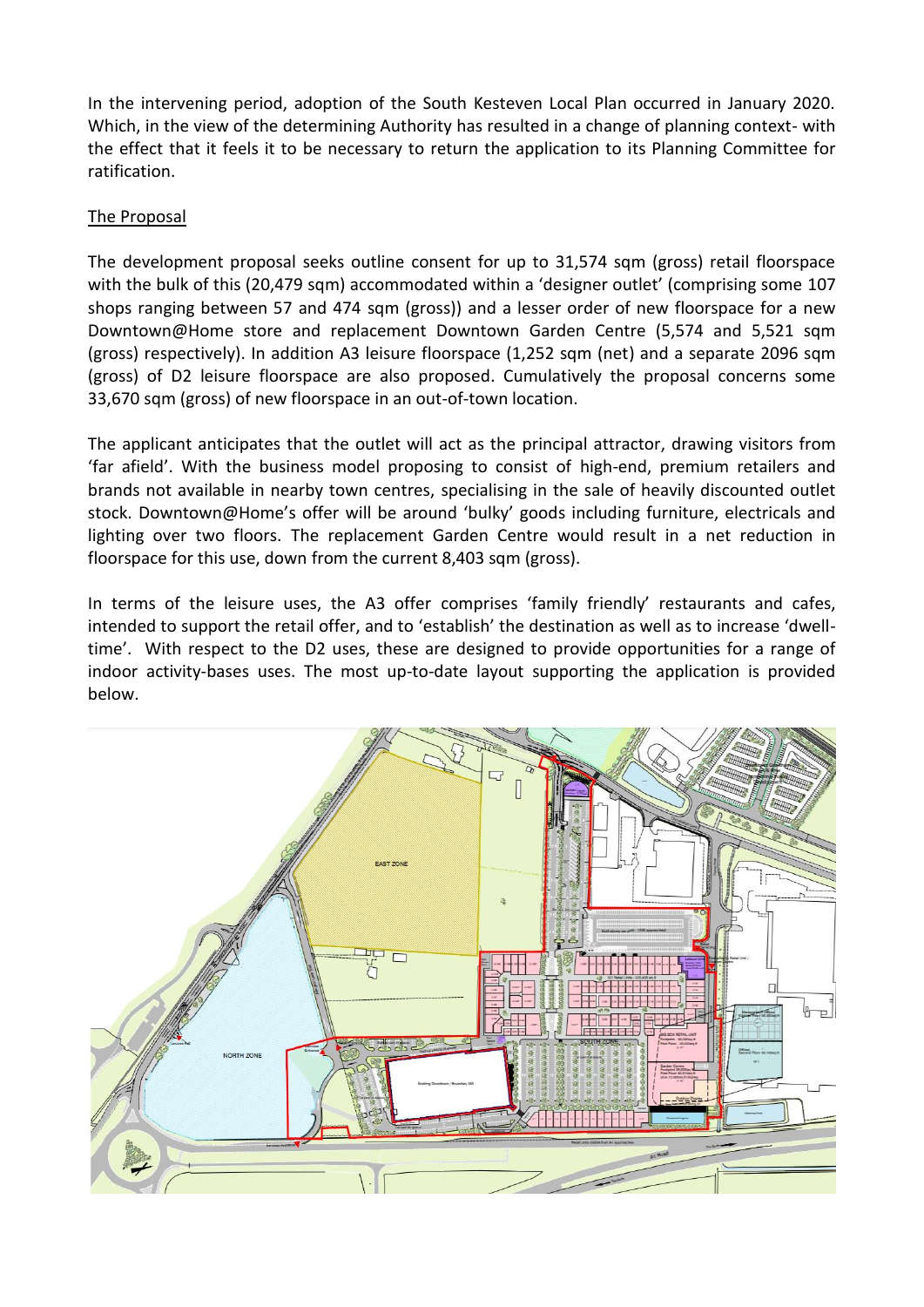In the intervening period, adoption of the South Kesteven Local Plan occurred in January 2020. Which, in the view of the determining Authority has resulted in a change of planning context- with the effect that it feels it to be necessary to return the application to its Planning Committee for ratification.

### The Proposal

The development proposal seeks outline consent for up to 31,574 sqm (gross) retail floorspace with the bulk of this (20,479 sqm) accommodated within a 'designer outlet' (comprising some 107 shops ranging between 57 and 474 sqm (gross)) and a lesser order of new floorspace for a new Downtown@Home store and replacement Downtown Garden Centre (5,574 and 5,521 sqm (gross) respectively). In addition A3 leisure floorspace (1,252 sqm (net) and a separate 2096 sqm (gross) of D2 leisure floorspace are also proposed. Cumulatively the proposal concerns some 33,670 sqm (gross) of new floorspace in an out-of-town location.

The applicant anticipates that the outlet will act as the principal attractor, drawing visitors from 'far afield'. With the business model proposing to consist of high-end, premium retailers and brands not available in nearby town centres, specialising in the sale of heavily discounted outlet stock. Downtown@Home's offer will be around 'bulky' goods including furniture, electricals and lighting over two floors. The replacement Garden Centre would result in a net reduction in floorspace for this use, down from the current 8,403 sqm (gross).

In terms of the leisure uses, the A3 offer comprises 'family friendly' restaurants and cafes, intended to support the retail offer, and to 'establish' the destination as well as to increase 'dwelltime'. With respect to the D2 uses, these are designed to provide opportunities for a range of indoor activity-bases uses. The most up-to-date layout supporting the application is provided below.

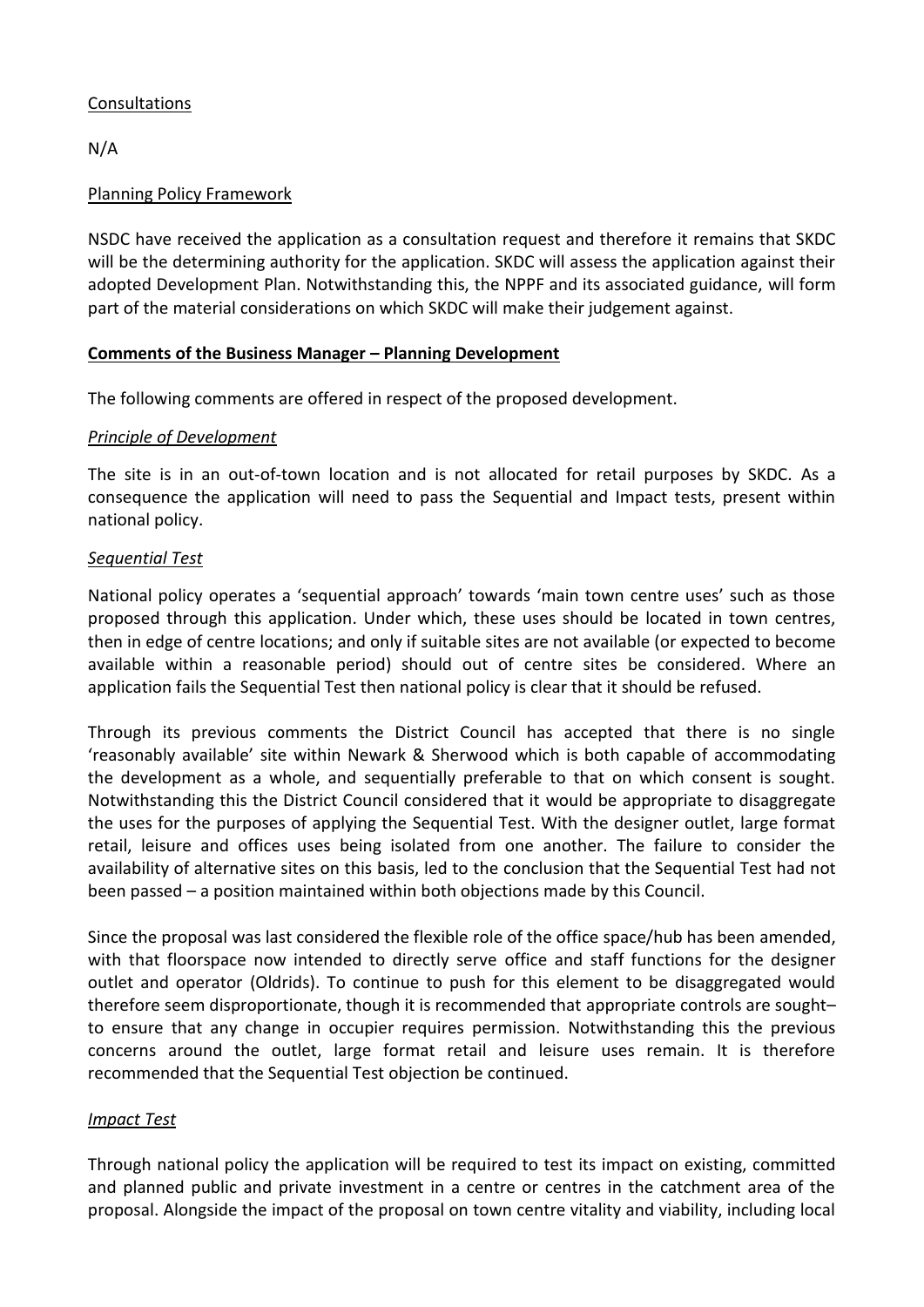# Consultations

N/A

# Planning Policy Framework

NSDC have received the application as a consultation request and therefore it remains that SKDC will be the determining authority for the application. SKDC will assess the application against their adopted Development Plan. Notwithstanding this, the NPPF and its associated guidance, will form part of the material considerations on which SKDC will make their judgement against.

# **Comments of the Business Manager – Planning Development**

The following comments are offered in respect of the proposed development.

# *Principle of Development*

The site is in an out-of-town location and is not allocated for retail purposes by SKDC. As a consequence the application will need to pass the Sequential and Impact tests, present within national policy.

# *Sequential Test*

National policy operates a 'sequential approach' towards 'main town centre uses' such as those proposed through this application. Under which, these uses should be located in town centres, then in edge of centre locations; and only if suitable sites are not available (or expected to become available within a reasonable period) should out of centre sites be considered. Where an application fails the Sequential Test then national policy is clear that it should be refused.

Through its previous comments the District Council has accepted that there is no single 'reasonably available' site within Newark & Sherwood which is both capable of accommodating the development as a whole, and sequentially preferable to that on which consent is sought. Notwithstanding this the District Council considered that it would be appropriate to disaggregate the uses for the purposes of applying the Sequential Test. With the designer outlet, large format retail, leisure and offices uses being isolated from one another. The failure to consider the availability of alternative sites on this basis, led to the conclusion that the Sequential Test had not been passed – a position maintained within both objections made by this Council.

Since the proposal was last considered the flexible role of the office space/hub has been amended, with that floorspace now intended to directly serve office and staff functions for the designer outlet and operator (Oldrids). To continue to push for this element to be disaggregated would therefore seem disproportionate, though it is recommended that appropriate controls are sought– to ensure that any change in occupier requires permission. Notwithstanding this the previous concerns around the outlet, large format retail and leisure uses remain. It is therefore recommended that the Sequential Test objection be continued.

# *Impact Test*

Through national policy the application will be required to test its impact on existing, committed and planned public and private investment in a centre or centres in the catchment area of the proposal. Alongside the impact of the proposal on town centre vitality and viability, including local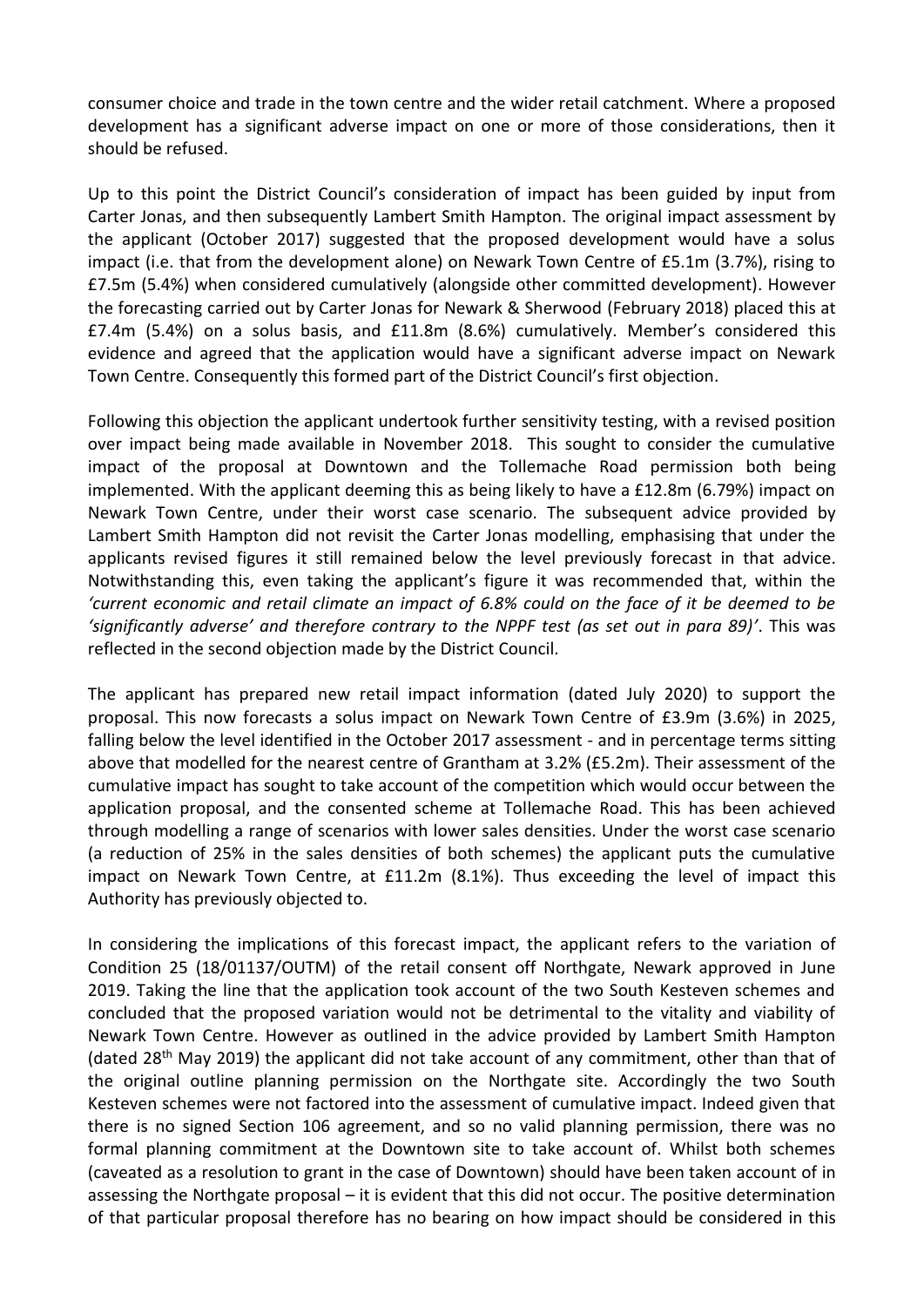consumer choice and trade in the town centre and the wider retail catchment. Where a proposed development has a significant adverse impact on one or more of those considerations, then it should be refused.

Up to this point the District Council's consideration of impact has been guided by input from Carter Jonas, and then subsequently Lambert Smith Hampton. The original impact assessment by the applicant (October 2017) suggested that the proposed development would have a solus impact (i.e. that from the development alone) on Newark Town Centre of £5.1m (3.7%), rising to £7.5m (5.4%) when considered cumulatively (alongside other committed development). However the forecasting carried out by Carter Jonas for Newark & Sherwood (February 2018) placed this at £7.4m (5.4%) on a solus basis, and £11.8m (8.6%) cumulatively. Member's considered this evidence and agreed that the application would have a significant adverse impact on Newark Town Centre. Consequently this formed part of the District Council's first objection.

Following this objection the applicant undertook further sensitivity testing, with a revised position over impact being made available in November 2018. This sought to consider the cumulative impact of the proposal at Downtown and the Tollemache Road permission both being implemented. With the applicant deeming this as being likely to have a £12.8m (6.79%) impact on Newark Town Centre, under their worst case scenario. The subsequent advice provided by Lambert Smith Hampton did not revisit the Carter Jonas modelling, emphasising that under the applicants revised figures it still remained below the level previously forecast in that advice. Notwithstanding this, even taking the applicant's figure it was recommended that, within the *'current economic and retail climate an impact of 6.8% could on the face of it be deemed to be 'significantly adverse' and therefore contrary to the NPPF test (as set out in para 89)'*. This was reflected in the second objection made by the District Council.

The applicant has prepared new retail impact information (dated July 2020) to support the proposal. This now forecasts a solus impact on Newark Town Centre of £3.9m (3.6%) in 2025, falling below the level identified in the October 2017 assessment - and in percentage terms sitting above that modelled for the nearest centre of Grantham at 3.2% (£5.2m). Their assessment of the cumulative impact has sought to take account of the competition which would occur between the application proposal, and the consented scheme at Tollemache Road. This has been achieved through modelling a range of scenarios with lower sales densities. Under the worst case scenario (a reduction of 25% in the sales densities of both schemes) the applicant puts the cumulative impact on Newark Town Centre, at £11.2m (8.1%). Thus exceeding the level of impact this Authority has previously objected to.

In considering the implications of this forecast impact, the applicant refers to the variation of Condition 25 (18/01137/OUTM) of the retail consent off Northgate, Newark approved in June 2019. Taking the line that the application took account of the two South Kesteven schemes and concluded that the proposed variation would not be detrimental to the vitality and viability of Newark Town Centre. However as outlined in the advice provided by Lambert Smith Hampton (dated 28<sup>th</sup> May 2019) the applicant did not take account of any commitment, other than that of the original outline planning permission on the Northgate site. Accordingly the two South Kesteven schemes were not factored into the assessment of cumulative impact. Indeed given that there is no signed Section 106 agreement, and so no valid planning permission, there was no formal planning commitment at the Downtown site to take account of. Whilst both schemes (caveated as a resolution to grant in the case of Downtown) should have been taken account of in assessing the Northgate proposal – it is evident that this did not occur. The positive determination of that particular proposal therefore has no bearing on how impact should be considered in this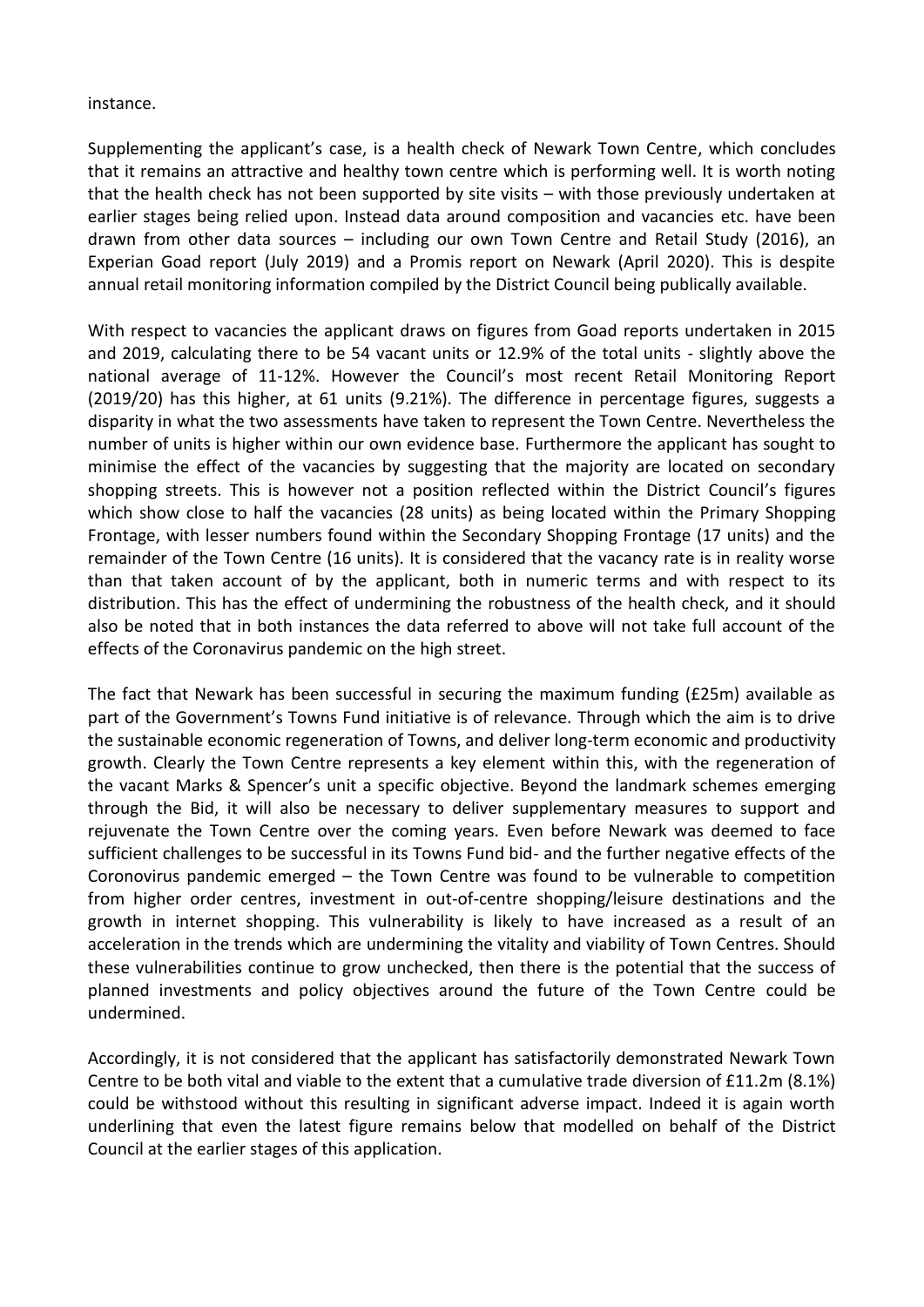#### instance.

Supplementing the applicant's case, is a health check of Newark Town Centre, which concludes that it remains an attractive and healthy town centre which is performing well. It is worth noting that the health check has not been supported by site visits – with those previously undertaken at earlier stages being relied upon. Instead data around composition and vacancies etc. have been drawn from other data sources – including our own Town Centre and Retail Study (2016), an Experian Goad report (July 2019) and a Promis report on Newark (April 2020). This is despite annual retail monitoring information compiled by the District Council being publically available.

With respect to vacancies the applicant draws on figures from Goad reports undertaken in 2015 and 2019, calculating there to be 54 vacant units or 12.9% of the total units - slightly above the national average of 11-12%. However the Council's most recent Retail Monitoring Report (2019/20) has this higher, at 61 units (9.21%). The difference in percentage figures, suggests a disparity in what the two assessments have taken to represent the Town Centre. Nevertheless the number of units is higher within our own evidence base. Furthermore the applicant has sought to minimise the effect of the vacancies by suggesting that the majority are located on secondary shopping streets. This is however not a position reflected within the District Council's figures which show close to half the vacancies (28 units) as being located within the Primary Shopping Frontage, with lesser numbers found within the Secondary Shopping Frontage (17 units) and the remainder of the Town Centre (16 units). It is considered that the vacancy rate is in reality worse than that taken account of by the applicant, both in numeric terms and with respect to its distribution. This has the effect of undermining the robustness of the health check, and it should also be noted that in both instances the data referred to above will not take full account of the effects of the Coronavirus pandemic on the high street.

The fact that Newark has been successful in securing the maximum funding (£25m) available as part of the Government's Towns Fund initiative is of relevance. Through which the aim is to drive the sustainable economic regeneration of Towns, and deliver long-term economic and productivity growth. Clearly the Town Centre represents a key element within this, with the regeneration of the vacant Marks & Spencer's unit a specific objective. Beyond the landmark schemes emerging through the Bid, it will also be necessary to deliver supplementary measures to support and rejuvenate the Town Centre over the coming years. Even before Newark was deemed to face sufficient challenges to be successful in its Towns Fund bid- and the further negative effects of the Coronovirus pandemic emerged – the Town Centre was found to be vulnerable to competition from higher order centres, investment in out-of-centre shopping/leisure destinations and the growth in internet shopping. This vulnerability is likely to have increased as a result of an acceleration in the trends which are undermining the vitality and viability of Town Centres. Should these vulnerabilities continue to grow unchecked, then there is the potential that the success of planned investments and policy objectives around the future of the Town Centre could be undermined.

Accordingly, it is not considered that the applicant has satisfactorily demonstrated Newark Town Centre to be both vital and viable to the extent that a cumulative trade diversion of £11.2m (8.1%) could be withstood without this resulting in significant adverse impact. Indeed it is again worth underlining that even the latest figure remains below that modelled on behalf of the District Council at the earlier stages of this application.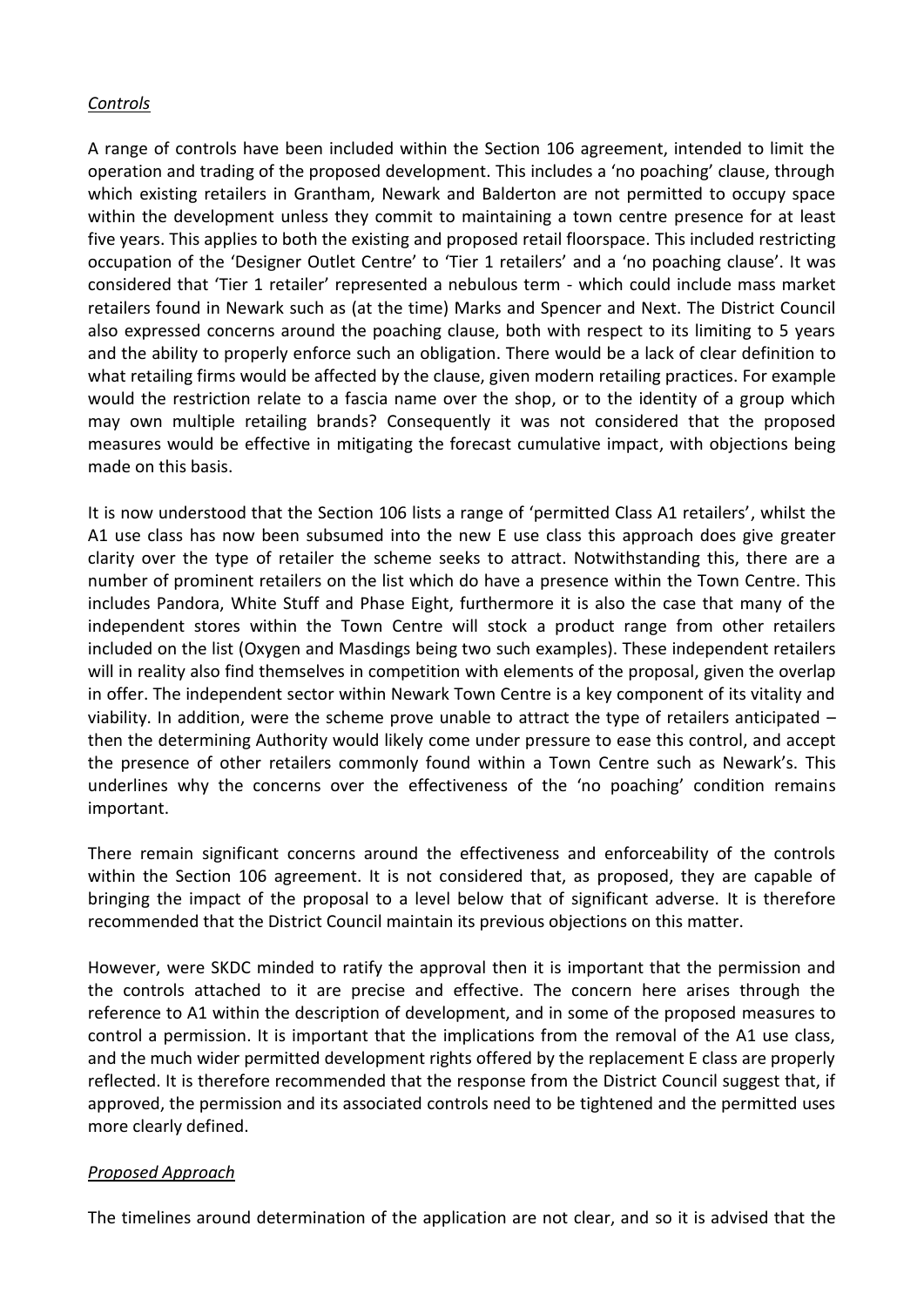### *Controls*

A range of controls have been included within the Section 106 agreement, intended to limit the operation and trading of the proposed development. This includes a 'no poaching' clause, through which existing retailers in Grantham, Newark and Balderton are not permitted to occupy space within the development unless they commit to maintaining a town centre presence for at least five years. This applies to both the existing and proposed retail floorspace. This included restricting occupation of the 'Designer Outlet Centre' to 'Tier 1 retailers' and a 'no poaching clause'. It was considered that 'Tier 1 retailer' represented a nebulous term - which could include mass market retailers found in Newark such as (at the time) Marks and Spencer and Next. The District Council also expressed concerns around the poaching clause, both with respect to its limiting to 5 years and the ability to properly enforce such an obligation. There would be a lack of clear definition to what retailing firms would be affected by the clause, given modern retailing practices. For example would the restriction relate to a fascia name over the shop, or to the identity of a group which may own multiple retailing brands? Consequently it was not considered that the proposed measures would be effective in mitigating the forecast cumulative impact, with objections being made on this basis.

It is now understood that the Section 106 lists a range of 'permitted Class A1 retailers', whilst the A1 use class has now been subsumed into the new E use class this approach does give greater clarity over the type of retailer the scheme seeks to attract. Notwithstanding this, there are a number of prominent retailers on the list which do have a presence within the Town Centre. This includes Pandora, White Stuff and Phase Eight, furthermore it is also the case that many of the independent stores within the Town Centre will stock a product range from other retailers included on the list (Oxygen and Masdings being two such examples). These independent retailers will in reality also find themselves in competition with elements of the proposal, given the overlap in offer. The independent sector within Newark Town Centre is a key component of its vitality and viability. In addition, were the scheme prove unable to attract the type of retailers anticipated – then the determining Authority would likely come under pressure to ease this control, and accept the presence of other retailers commonly found within a Town Centre such as Newark's. This underlines why the concerns over the effectiveness of the 'no poaching' condition remains important.

There remain significant concerns around the effectiveness and enforceability of the controls within the Section 106 agreement. It is not considered that, as proposed, they are capable of bringing the impact of the proposal to a level below that of significant adverse. It is therefore recommended that the District Council maintain its previous objections on this matter.

However, were SKDC minded to ratify the approval then it is important that the permission and the controls attached to it are precise and effective. The concern here arises through the reference to A1 within the description of development, and in some of the proposed measures to control a permission. It is important that the implications from the removal of the A1 use class, and the much wider permitted development rights offered by the replacement E class are properly reflected. It is therefore recommended that the response from the District Council suggest that, if approved, the permission and its associated controls need to be tightened and the permitted uses more clearly defined.

#### *Proposed Approach*

The timelines around determination of the application are not clear, and so it is advised that the